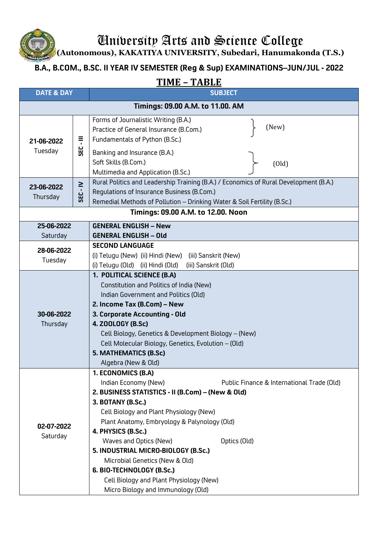University Arts and Science College

**(Autonomous), KAKATIYA UNIVERSITY, Subedari, Hanumakonda (T.S.)**

## **B.A., B.COM., B.SC. II YEAR IV SEMESTER (Reg & Sup) EXAMINATIONS–JUN/JUL - 2022**

## **TIME – TABLE**

| <b>DATE &amp; DAY</b>              |          | <u>I IIVI LI</u><br>171D U U<br><b>SUBJECT</b>                                                                                                                                                                                                                                                                                                                                                                                                                                                                       |  |
|------------------------------------|----------|----------------------------------------------------------------------------------------------------------------------------------------------------------------------------------------------------------------------------------------------------------------------------------------------------------------------------------------------------------------------------------------------------------------------------------------------------------------------------------------------------------------------|--|
| Timings: 09.00 A.M. to 11.00. AM   |          |                                                                                                                                                                                                                                                                                                                                                                                                                                                                                                                      |  |
| 21-06-2022<br>Tuesday              | Ę<br>SEC | Forms of Journalistic Writing (B.A.)<br>(New)<br>Practice of General Insurance (B.Com.)<br>Fundamentals of Python (B.Sc.)                                                                                                                                                                                                                                                                                                                                                                                            |  |
|                                    |          | Banking and Insurance (B.A.)<br>Soft Skills (B.Com.)<br>(Old)<br>Multimedia and Application (B.Sc.)                                                                                                                                                                                                                                                                                                                                                                                                                  |  |
| 23-06-2022<br>Thursday             | SEC - IV | Rural Politics and Leadership Training (B.A.) / Economics of Rural Development (B.A.)<br>Regulations of Insurance Business (B.Com.)<br>Remedial Methods of Pollution - Drinking Water & Soil Fertility (B.Sc.)                                                                                                                                                                                                                                                                                                       |  |
| Timings: 09.00 A.M. to 12.00. Noon |          |                                                                                                                                                                                                                                                                                                                                                                                                                                                                                                                      |  |
| 25-06-2022<br>Saturday             |          | <b>GENERAL ENGLISH - New</b><br><b>GENERAL ENGLISH - Old</b>                                                                                                                                                                                                                                                                                                                                                                                                                                                         |  |
| 28-06-2022<br>Tuesday              |          | <b>SECOND LANGUAGE</b><br>(i) Telugu (New) (ii) Hindi (New) (iii) Sanskrit (New)<br>(i) Telugu (Old) (ii) Hindi (Old)<br>(iii) Sanskrit (Old)                                                                                                                                                                                                                                                                                                                                                                        |  |
| 30-06-2022<br>Thursday             |          | 1. POLITICAL SCIENCE (B.A)<br>Constitution and Politics of India (New)<br>Indian Government and Politics (Old)<br>2. Income Tax (B.Com) - New<br>3. Corporate Accounting - Old<br>4. ZOOLOGY (B.Sc)<br>Cell Biology, Genetics & Development Biology - (New)<br>Cell Molecular Biology, Genetics, Evolution - (Old)<br>5. MATHEMATICS (B.Sc)<br>Algebra (New & Old)                                                                                                                                                   |  |
| 02-07-2022<br>Saturday             |          | 1. ECONOMICS (B.A)<br>Indian Economy (New)<br>Public Finance & International Trade (Old)<br>2. BUSINESS STATISTICS - II (B.Com) - (New & Old)<br>3. BOTANY (B.Sc.)<br>Cell Biology and Plant Physiology (New)<br>Plant Anatomy, Embryology & Palynology (Old)<br>4. PHYSICS (B.Sc.)<br>Waves and Optics (New)<br>Optics (Old)<br>5. INDUSTRIAL MICRO-BIOLOGY (B.Sc.)<br>Microbial Genetics (New & Old)<br>6. BIO-TECHNOLOGY (B.Sc.)<br>Cell Biology and Plant Physiology (New)<br>Micro Biology and Immunology (Old) |  |